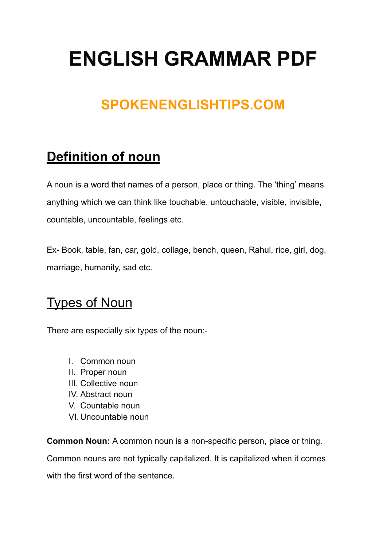# **ENGLISH GRAMMAR PDF**

## **SPOKENENGLISHTIPS.COM**

## **Definition of noun**

A noun is a word that names of a person, place or thing. The 'thing' means anything which we can think like touchable, untouchable, visible, invisible, countable, uncountable, feelings etc.

Ex- Book, table, fan, car, gold, collage, bench, queen, Rahul, rice, girl, dog, marriage, humanity, sad etc.

### Types of Noun

There are especially six types of the noun:-

- I. Common noun
- II. Proper noun
- III. Collective noun
- IV. Abstract noun
- V. Countable noun
- VI. Uncountable noun

**Common Noun:** A common noun is a non-specific person, place or thing.

Common nouns are not typically capitalized. It is capitalized when it comes

with the first word of the sentence.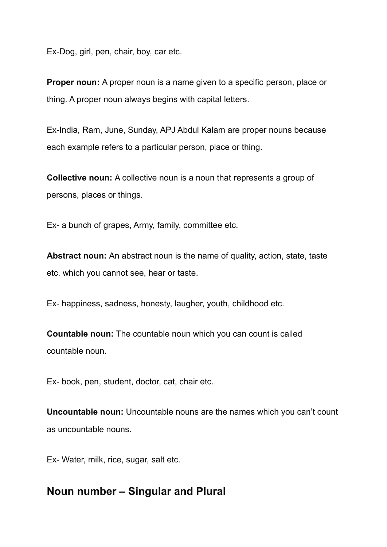Ex-Dog, girl, pen, chair, boy, car etc.

**Proper noun:** A proper noun is a name given to a specific person, place or thing. A proper noun always begins with capital letters.

Ex-India, Ram, June, Sunday, APJ Abdul Kalam are proper nouns because each example refers to a particular person, place or thing.

**Collective noun:** A collective noun is a noun that represents a group of persons, places or things.

Ex- a bunch of grapes, Army, family, committee etc.

**Abstract noun:** An abstract noun is the name of quality, action, state, taste etc. which you cannot see, hear or taste.

Ex- happiness, sadness, honesty, laugher, youth, childhood etc.

**Countable noun:** The countable noun which you can count is called countable noun.

Ex- book, pen, student, doctor, cat, chair etc.

**Uncountable noun:** Uncountable nouns are the names which you can't count as uncountable nouns.

Ex- Water, milk, rice, sugar, salt etc.

#### **Noun number – Singular and Plural**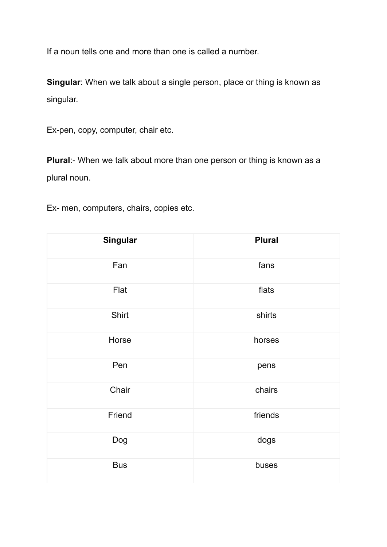If a noun tells one and more than one is called a number.

**Singular**: When we talk about a single person, place or thing is known as singular.

Ex-pen, copy, computer, chair etc.

**Plural:-** When we talk about more than one person or thing is known as a plural noun.

Ex- men, computers, chairs, copies etc.

| Singular   | <b>Plural</b> |
|------------|---------------|
| Fan        | fans          |
| Flat       | flats         |
| Shirt      | shirts        |
| Horse      | horses        |
| Pen        | pens          |
| Chair      | chairs        |
| Friend     | friends       |
| Dog        | dogs          |
| <b>Bus</b> | buses         |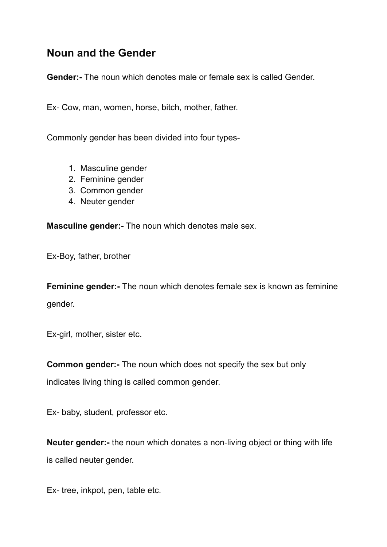#### **Noun and the Gender**

**Gender:-** The noun which denotes male or female sex is called Gender.

Ex- Cow, man, women, horse, bitch, mother, father.

Commonly gender has been divided into four types-

- 1. Masculine gender
- 2. Feminine gender
- 3. Common gender
- 4. Neuter gender

**Masculine gender:-** The noun which denotes male sex.

Ex-Boy, father, brother

**Feminine gender:-** The noun which denotes female sex is known as feminine gender.

Ex-girl, mother, sister etc.

**Common gender:-** The noun which does not specify the sex but only

indicates living thing is called common gender.

Ex- baby, student, professor etc.

**Neuter gender:-** the noun which donates a non-living object or thing with life is called neuter gender.

Ex- tree, inkpot, pen, table etc.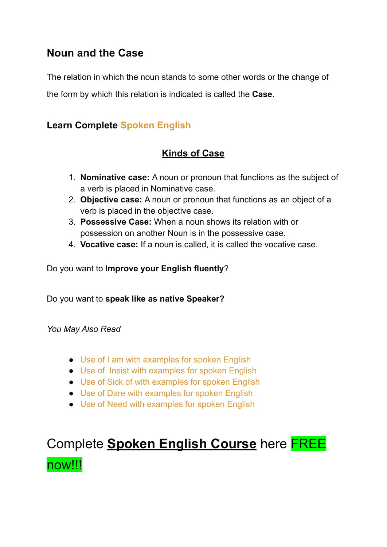#### **Noun and the Case**

The relation in which the noun stands to some other words or the change of

the form by which this relation is indicated is called the **Case**.

#### **Learn Complete Spoken [English](https://completespokenenglishcourse.blogspot.com/)**

#### **Kinds of Case**

- 1. **Nominative case:** A noun or pronoun that functions as the subject of a verb is placed in Nominative case.
- 2. **Objective case:** A noun or pronoun that functions as an object of a verb is placed in the objective case.
- 3. **Possessive Case:** When a noun shows its relation with or possession on another Noun is in the possessive case.
- 4. **Vocative case:** If a noun is called, it is called the vocative case.

#### Do you want to **Improve your English fluently**?

Do you want to **speak like as native Speaker?**

*You May Also Read*

- Use of I am with [examples](https://spokenenglishtips.com/basic-use-of-i-am-with-examples-spoken-english/) for spoken English
- Use of Insist with [examples](https://spokenenglishtips.com/use-of-insist-with-examples-spoken-english/) for spoken English
- Use of Sick of with [examples](https://spokenenglishtips.com/use-of-sick-of-spoken-english-basics-of-structures/) for spoken English
- Use of Dare with [examples](https://spokenenglishtips.com/use-of-dare-spoken-english-basics-of-structures/) for spoken English
- Use of Need with [examples](https://spokenenglishtips.com/use-of-need-to-basics-of-structures/) for spoken English

# Complete **Spoken English Course** here FREE now!!!